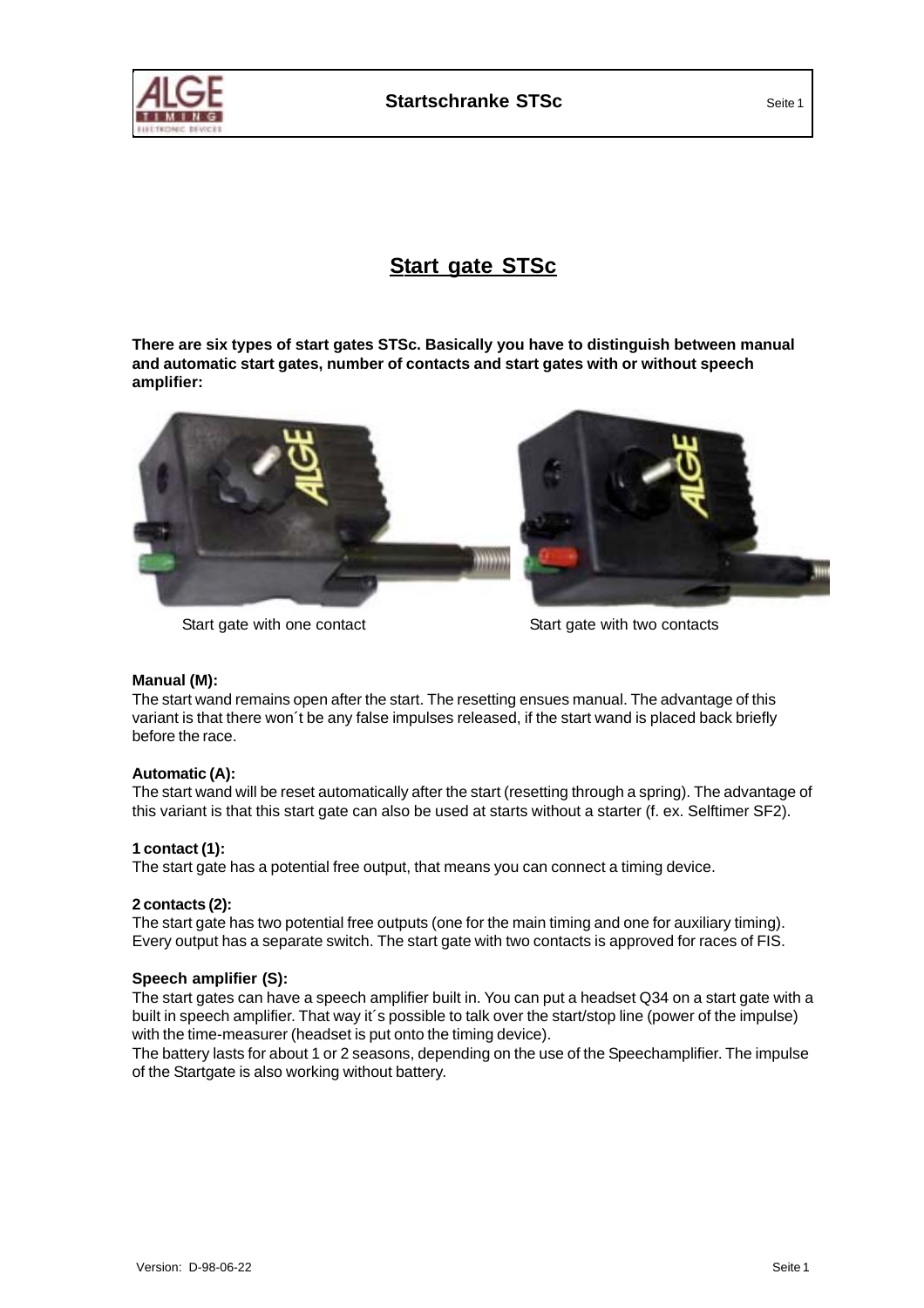

# **Start gate STSc**

**There are six types of start gates STSc. Basically you have to distinguish between manual and automatic start gates, number of contacts and start gates with or without speech amplifier:**



### Start gate with one contact Start gate with two contacts

### **Manual (M):**

The start wand remains open after the start. The resetting ensues manual. The advantage of this variant is that there won´t be any false impulses released, if the start wand is placed back briefly before the race.

### **Automatic (A):**

The start wand will be reset automatically after the start (resetting through a spring). The advantage of this variant is that this start gate can also be used at starts without a starter (f. ex. Selftimer SF2).

## **1 contact (1):**

The start gate has a potential free output, that means you can connect a timing device.

### **2 contacts (2):**

The start gate has two potential free outputs (one for the main timing and one for auxiliary timing). Every output has a separate switch. The start gate with two contacts is approved for races of FIS.

### **Speech amplifier (S):**

The start gates can have a speech amplifier built in. You can put a headset Q34 on a start gate with a built in speech amplifier. That way it´s possible to talk over the start/stop line (power of the impulse) with the time-measurer (headset is put onto the timing device).

The battery lasts for about 1 or 2 seasons, depending on the use of the Speechamplifier. The impulse of the Startgate is also working without battery.